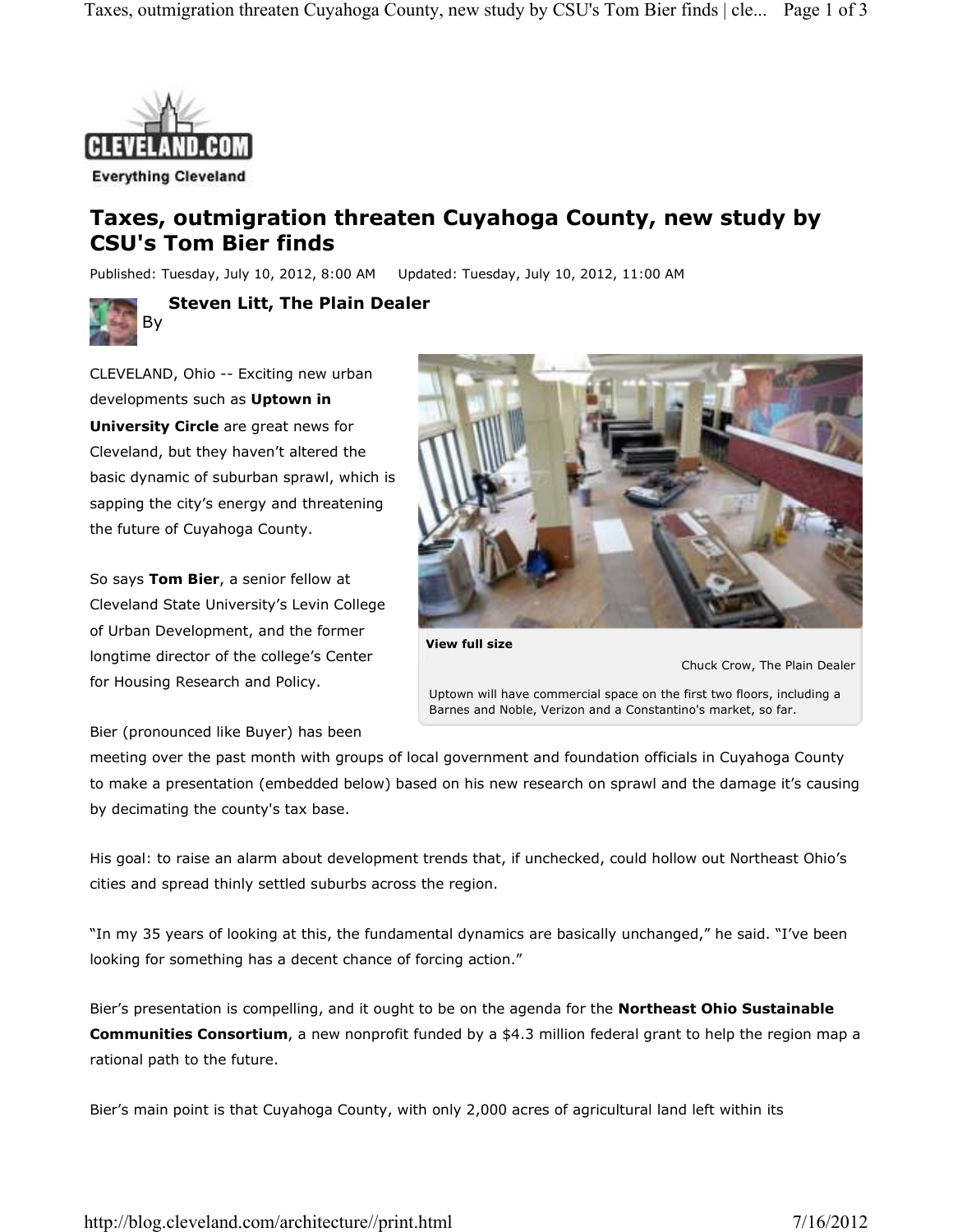

## **Taxes, outmigration threaten Cuyahoga County, new study by CSU's Tom Bier finds**

Published: Tuesday, July 10, 2012, 8:00 AM Updated: Tuesday, July 10, 2012, 11:00 AM



**Steven Litt, The Plain Dealer**

CLEVELAND, Ohio -- Exciting new urban developments such as **Uptown in University Circle** are great news for Cleveland, but they haven't altered the basic dynamic of suburban sprawl, which is sapping the city's energy and threatening the future of Cuyahoga County.

So says **Tom Bier**, a senior fellow at Cleveland State University's Levin College of Urban Development, and the former longtime director of the college's Center for Housing Research and Policy.



Uptown will have commercial space on the first two floors, including a Barnes and Noble, Verizon and a Constantino's market, so far.

Chuck Crow, The Plain Dealer

Bier (pronounced like Buyer) has been

meeting over the past month with groups of local government and foundation officials in Cuyahoga County to make a presentation (embedded below) based on his new research on sprawl and the damage it's causing by decimating the county's tax base.

His goal: to raise an alarm about development trends that, if unchecked, could hollow out Northeast Ohio's cities and spread thinly settled suburbs across the region.

"In my 35 years of looking at this, the fundamental dynamics are basically unchanged," he said. "I've been looking for something has a decent chance of forcing action."

Bier's presentation is compelling, and it ought to be on the agenda for the **Northeast Ohio Sustainable Communities Consortium**, a new nonprofit funded by a \$4.3 million federal grant to help the region map a rational path to the future.

Bier's main point is that Cuyahoga County, with only 2,000 acres of agricultural land left within its

http://blog.cleveland.com/architecture//print.html 7/16/2012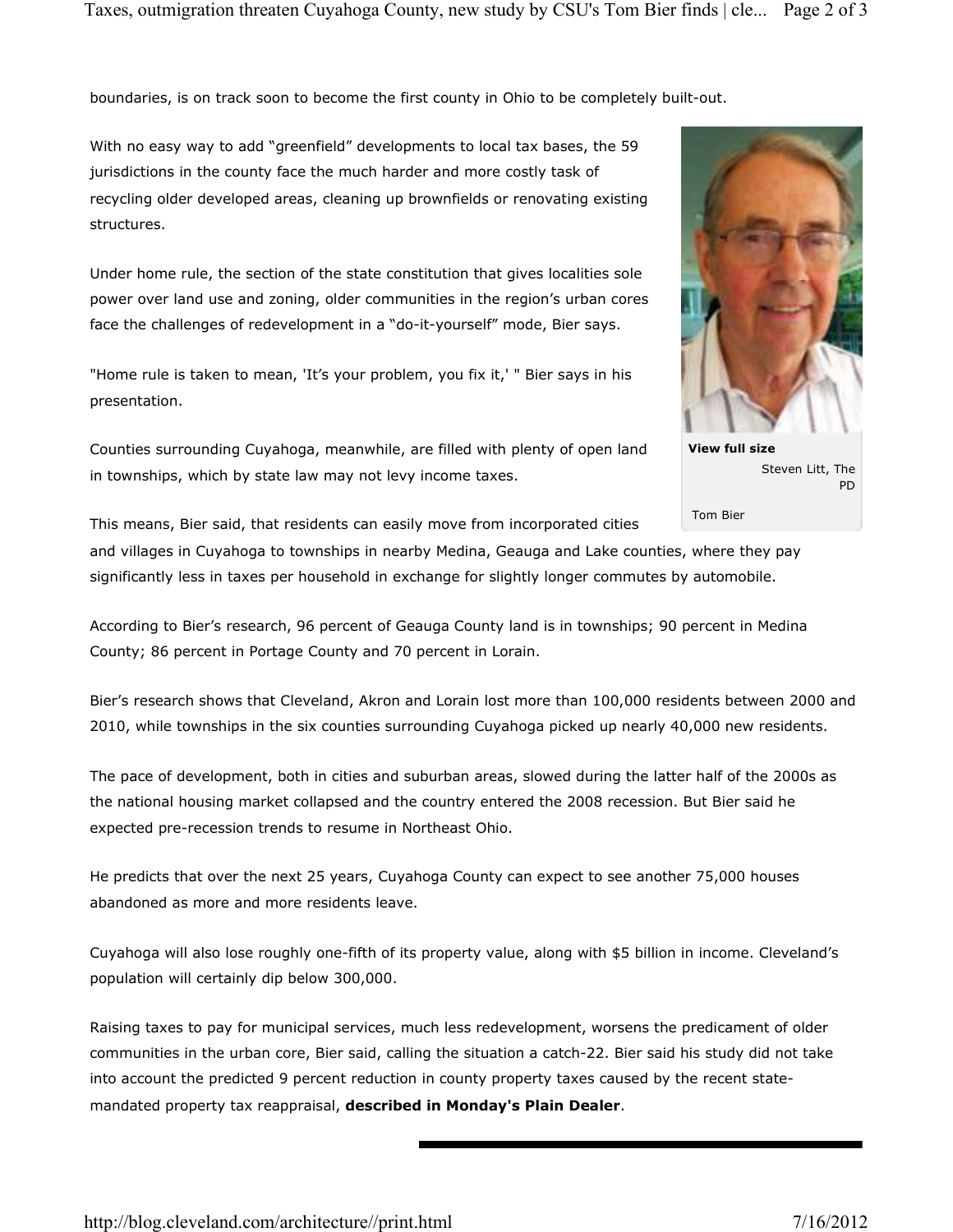boundaries, is on track soon to become the first county in Ohio to be completely built-out.

With no easy way to add "greenfield" developments to local tax bases, the 59 jurisdictions in the county face the much harder and more costly task of recycling older developed areas, cleaning up brownfields or renovating existing structures.

Under home rule, the section of the state constitution that gives localities sole power over land use and zoning, older communities in the region's urban cores face the challenges of redevelopment in a "do-it-yourself" mode, Bier says.

"Home rule is taken to mean, 'It's your problem, you fix it,' " Bier says in his presentation.

Counties surrounding Cuyahoga, meanwhile, are filled with plenty of open land in townships, which by state law may not levy income taxes.



**View full size** Steven Litt, The PD

Tom Bier

This means, Bier said, that residents can easily move from incorporated cities

and villages in Cuyahoga to townships in nearby Medina, Geauga and Lake counties, where they pay significantly less in taxes per household in exchange for slightly longer commutes by automobile.

According to Bier's research, 96 percent of Geauga County land is in townships; 90 percent in Medina County; 86 percent in Portage County and 70 percent in Lorain.

Bier's research shows that Cleveland, Akron and Lorain lost more than 100,000 residents between 2000 and 2010, while townships in the six counties surrounding Cuyahoga picked up nearly 40,000 new residents.

The pace of development, both in cities and suburban areas, slowed during the latter half of the 2000s as the national housing market collapsed and the country entered the 2008 recession. But Bier said he expected pre-recession trends to resume in Northeast Ohio.

He predicts that over the next 25 years, Cuyahoga County can expect to see another 75,000 houses abandoned as more and more residents leave.

Cuyahoga will also lose roughly one-fifth of its property value, along with \$5 billion in income. Cleveland's population will certainly dip below 300,000.

Raising taxes to pay for municipal services, much less redevelopment, worsens the predicament of older communities in the urban core, Bier said, calling the situation a catch-22. Bier said his study did not take into account the predicted 9 percent reduction in county property taxes caused by the recent statemandated property tax reappraisal, **described in Monday's Plain Dealer**.